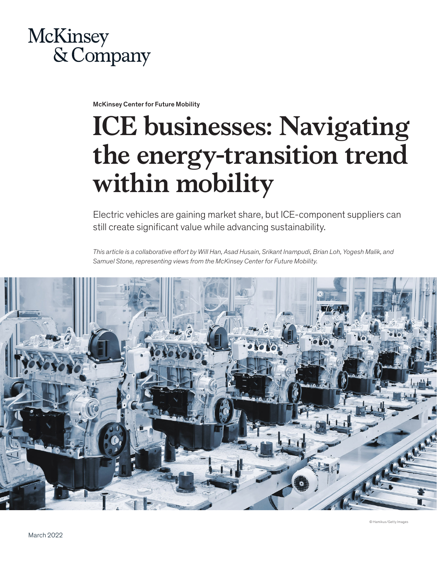

McKinsey Center for Future Mobility

# **ICE businesses: Navigating the energy-transition trend within mobility**

Electric vehicles are gaining market share, but ICE-component suppliers can still create significant value while advancing sustainability.

*This article is a collaborative effort by Will Han, Asad Husain, Srikant Inampudi, Brian Loh, Yogesh Malik, and Samuel Stone, representing views from the McKinsey Center for Future Mobility.*

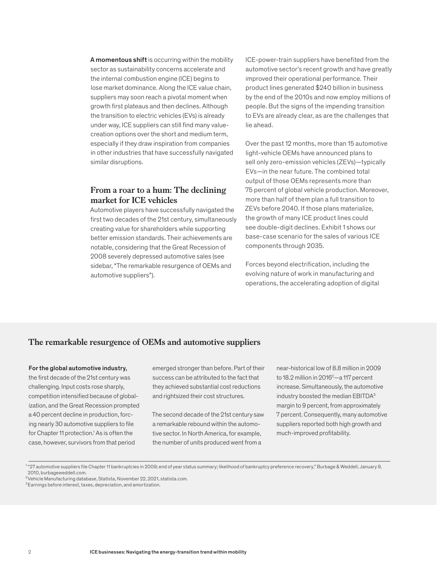A momentous shift is occurring within the mobility sector as sustainability concerns accelerate and the internal combustion engine (ICE) begins to lose market dominance. Along the ICE value chain, suppliers may soon reach a pivotal moment when growth first plateaus and then declines. Although the transition to electric vehicles (EVs) is already under way, ICE suppliers can still find many valuecreation options over the short and medium term, especially if they draw inspiration from companies in other industries that have successfully navigated similar disruptions.

# **From a roar to a hum: The declining market for ICE vehicles**

Automotive players have successfully navigated the first two decades of the 21st century, simultaneously creating value for shareholders while supporting better emission standards. Their achievements are notable, considering that the Great Recession of 2008 severely depressed automotive sales (see sidebar, "The remarkable resurgence of OEMs and automotive suppliers").

ICE-power-train suppliers have benefited from the automotive sector's recent growth and have greatly improved their operational performance. Their product lines generated \$240 billion in business by the end of the 2010s and now employ millions of people. But the signs of the impending transition to EVs are already clear, as are the challenges that lie ahead.

Over the past 12 months, more than 15 automotive light-vehicle OEMs have announced plans to sell only zero-emission vehicles (ZEVs)—typically EVs—in the near future. The combined total output of those OEMs represents more than 75 percent of global vehicle production. Moreover, more than half of them plan a full transition to ZEVs before 2040. If those plans materialize, the growth of many ICE product lines could see double-digit declines. Exhibit 1 shows our base-case scenario for the sales of various ICE components through 2035.

Forces beyond electrification, including the evolving nature of work in manufacturing and operations, the accelerating adoption of digital

# **The remarkable resurgence of OEMs and automotive suppliers**

#### For the global automotive industry,

the first decade of the 21st century was challenging. Input costs rose sharply, competition intensified because of globalization, and the Great Recession prompted a 40 percent decline in production, forcing nearly 30 automotive suppliers to file for Chapter 11 protection.<sup>1</sup> As is often the case, however, survivors from that period

emerged stronger than before. Part of their success can be attributed to the fact that they achieved substantial cost reductions and rightsized their cost structures.

The second decade of the 21st century saw a remarkable rebound within the automotive sector. In North America, for example, the number of units produced went from a

near-historical low of 8.8 million in 2009 to 18.2 million in  $2016^2$ —a 117 percent increase. Simultaneously, the automotive industry boosted the median EBITDA<sup>3</sup> margin to 9 percent, from approximately 7 percent. Consequently, many automotive suppliers reported both high growth and much-improved profitability.

<sup>1</sup> "27 automotive suppliers file Chapter 11 bankruptcies in 2009; end of year status summary; likelihood of bankruptcy preference recovery," Burbage & Weddell, January 9, 2010, burbageweddell.com.

 $^{2}$ Vehicle Manufacturing database, Statista, November 22, 2021, statista.com.

<sup>3</sup>Earnings before interest, taxes, depreciation, and amortization.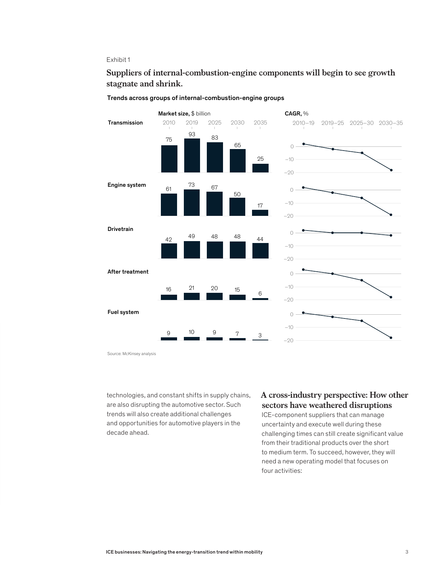### Exhibit 1

# Suppliers of internal-combustion-engine components will begin to see growth **Suppliers of internal-combustion-engine components will begin to see growth**  stagnate and shrink. **stagnate and shrink.**



#### Trends across groups of internal-combustion-engine groups

Source: McKinsey analysis

technologies, and constant shifts in supply chains, are also disrupting the automotive sector. Such trends will also create additional challenges and opportunities for automotive players in the decade ahead.

# **A cross-industry perspective: How other sectors have weathered disruptions**

ICE-component suppliers that can manage uncertainty and execute well during these challenging times can still create significant value from their traditional products over the short to medium term. To succeed, however, they will need a new operating model that focuses on four activities: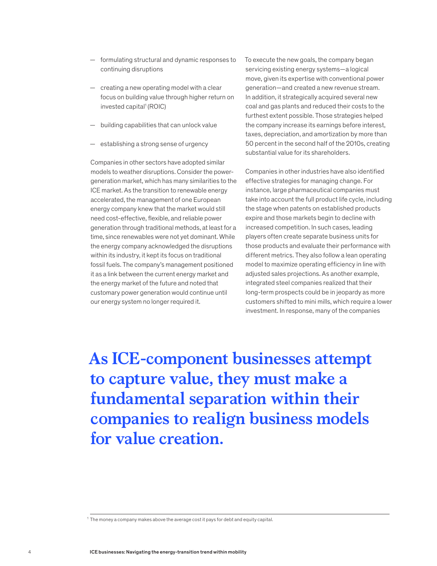- formulating structural and dynamic responses to continuing disruptions
- creating a new operating model with a clear focus on building value through higher return on invested capital<sup>1</sup> (ROIC)
- building capabilities that can unlock value
- establishing a strong sense of urgency

Companies in other sectors have adopted similar models to weather disruptions. Consider the powergeneration market, which has many similarities to the ICE market. As the transition to renewable energy accelerated, the management of one European energy company knew that the market would still need cost-effective, flexible, and reliable power generation through traditional methods, at least for a time, since renewables were not yet dominant. While the energy company acknowledged the disruptions within its industry, it kept its focus on traditional fossil fuels. The company's management positioned it as a link between the current energy market and the energy market of the future and noted that customary power generation would continue until our energy system no longer required it.

To execute the new goals, the company began servicing existing energy systems—a logical move, given its expertise with conventional power generation—and created a new revenue stream. In addition, it strategically acquired several new coal and gas plants and reduced their costs to the furthest extent possible. Those strategies helped the company increase its earnings before interest, taxes, depreciation, and amortization by more than 50 percent in the second half of the 2010s, creating substantial value for its shareholders.

Companies in other industries have also identified effective strategies for managing change. For instance, large pharmaceutical companies must take into account the full product life cycle, including the stage when patents on established products expire and those markets begin to decline with increased competition. In such cases, leading players often create separate business units for those products and evaluate their performance with different metrics. They also follow a lean operating model to maximize operating efficiency in line with adjusted sales projections. As another example, integrated steel companies realized that their long-term prospects could be in jeopardy as more customers shifted to mini mills, which require a lower investment. In response, many of the companies

**As ICE-component businesses attempt to capture value, they must make a fundamental separation within their companies to realign business models for value creation.**

 $1$  The money a company makes above the average cost it pays for debt and equity capital.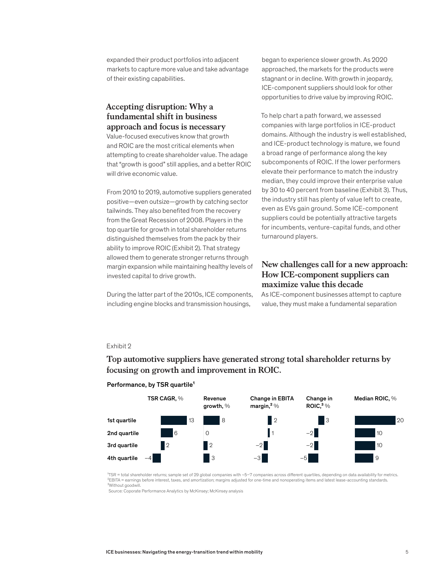expanded their product portfolios into adjacent markets to capture more value and take advantage of their existing capabilities.

# **Accepting disruption: Why a fundamental shift in business approach and focus is necessary**

Value-focused executives know that growth and ROIC are the most critical elements when attempting to create shareholder value. The adage that "growth is good" still applies, and a better ROIC will drive economic value.

From 2010 to 2019, automotive suppliers generated positive—even outsize—growth by catching sector tailwinds. They also benefited from the recovery from the Great Recession of 2008. Players in the top quartile for growth in total shareholder returns distinguished themselves from the pack by their ability to improve ROIC (Exhibit 2). That strategy allowed them to generate stronger returns through margin expansion while maintaining healthy levels of invested capital to drive growth.

During the latter part of the 2010s, ICE components, including engine blocks and transmission housings,

began to experience slower growth. As 2020 approached, the markets for the products were stagnant or in decline. With growth in jeopardy, ICE-component suppliers should look for other opportunities to drive value by improving ROIC.

To help chart a path forward, we assessed companies with large portfolios in ICE-product domains. Although the industry is well established, and ICE-product technology is mature, we found a broad range of performance along the key subcomponents of ROIC. If the lower performers elevate their performance to match the industry median, they could improve their enterprise value by 30 to 40 percent from baseline (Exhibit 3). Thus, the industry still has plenty of value left to create, even as EVs gain ground. Some ICE-component suppliers could be potentially attractive targets for incumbents, venture-capital funds, and other turnaround players.

# **New challenges call for a new approach: How ICE-component suppliers can maximize value this decade**

As ICE-component businesses attempt to capture value, they must make a fundamental separation

## Exhibit 2

#### Top automotive suppliers have generated strong total shareholder returns by Top automotive suppliers have generated strong total shareholder returns by **focusing on growth and improvement in ROIC.**



#### Performance, by TSR quartile<sup>1</sup>

<sup>1</sup>TSR = total shareholder returns; sample set of 29 global companies with ~5-7 companies across different quartiles, depending on data availability for metrics. ²EBITA = earnings before interest, taxes, and amortization; margins adjusted for one-time and nonoperating items and latest lease-accounting standards. ³Without goodwill.

Source: Coporate Performance Analytics by McKinsey; McKinsey analysis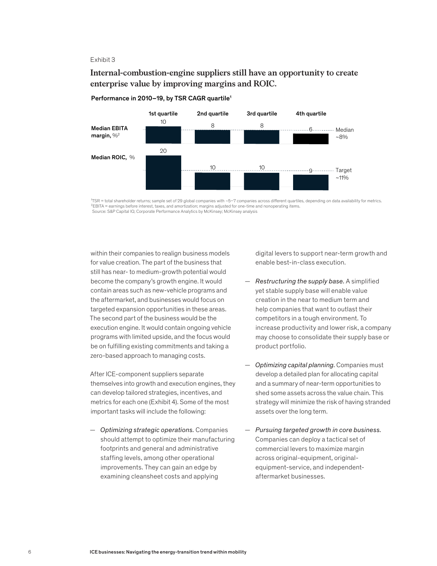#### Exhibit 3

# Internal-combustion-engine suppliers still have an opportunity to create **Internal-combustion-engine suppliers still have an opportunity to create**  enterprise value by improving margins and ROIC. **enterprise value by improving margins and ROIC.**



#### Performance in 2010-19, by TSR CAGR quartile<sup>1</sup>

 $^{17}$ SR = total shareholder returns; sample set of 29 global companies with ~5–7 companies across different quartiles, depending on data availability for metrics. ²EBITA = earnings before interest, taxes, and amortization; margins adjusted for one-time and nonoperating items. Source: S&P Capital IQ; Corporate Performance Analytics by McKinsey; McKinsey analysis

within their companies to realign business models for value creation. The part of the business that still has near- to medium-growth potential would become the company's growth engine. It would contain areas such as new-vehicle programs and the aftermarket, and businesses would focus on targeted expansion opportunities in these areas. The second part of the business would be the execution engine. It would contain ongoing vehicle programs with limited upside, and the focus would be on fulfilling existing commitments and taking a zero-based approach to managing costs.

After ICE-component suppliers separate themselves into growth and execution engines, they can develop tailored strategies, incentives, and metrics for each one (Exhibit 4). Some of the most important tasks will include the following:

— *Optimizing strategic operations.* Companies should attempt to optimize their manufacturing footprints and general and administrative staffing levels, among other operational improvements. They can gain an edge by examining cleansheet costs and applying

digital levers to support near-term growth and enable best-in-class execution.

- *Restructuring the supply base.* A simplified yet stable supply base will enable value creation in the near to medium term and help companies that want to outlast their competitors in a tough environment. To increase productivity and lower risk, a company may choose to consolidate their supply base or product portfolio.
- *Optimizing capital planning.* Companies must develop a detailed plan for allocating capital and a summary of near-term opportunities to shed some assets across the value chain. This strategy will minimize the risk of having stranded assets over the long term.
- *Pursuing targeted growth in core business.* Companies can deploy a tactical set of commercial levers to maximize margin across original-equipment, originalequipment-service, and independentaftermarket businesses.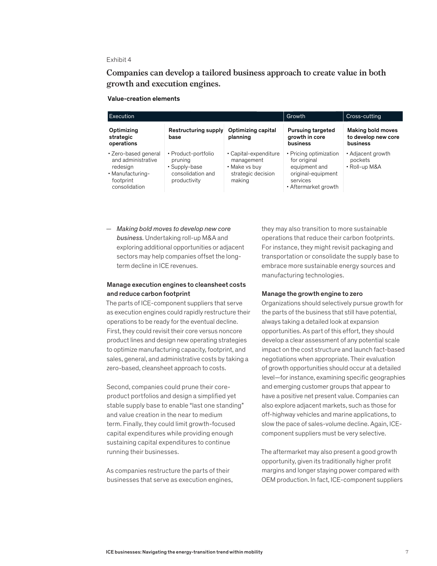#### Exhibit 4

Companies can develop a tailored business approach to create value in both **Companies can develop a tailored business approach to create value in both**  growth and execution engines. **growth and execution engines.**

Value-creation elements

| Execution                                                                                                |                                                                                      |                                                                                      | Growth                                                                                                            | Cross-cutting                                        |
|----------------------------------------------------------------------------------------------------------|--------------------------------------------------------------------------------------|--------------------------------------------------------------------------------------|-------------------------------------------------------------------------------------------------------------------|------------------------------------------------------|
| Optimizing<br>strategic<br>operations                                                                    | Restructuring supply<br>base                                                         | Optimizing capital<br>planning                                                       | <b>Pursuing targeted</b><br>growth in core<br>business                                                            | Making bold moves<br>to develop new core<br>business |
| • Zero-based general<br>and administrative<br>redesign<br>· Manufacturing-<br>footprint<br>consolidation | • Product-portfolio<br>pruning<br>• Supply-base<br>consolidation and<br>productivity | • Capital-expenditure<br>management<br>• Make vs buy<br>strategic decision<br>making | • Pricing optimization<br>for original<br>equipment and<br>original-equipment<br>services<br>• Aftermarket growth | • Adjacent growth<br>pockets<br>• Roll-up M&A        |

— *Making bold moves to develop new core business.* Undertaking roll-up M&A and exploring additional opportunities or adjacent sectors may help companies offset the longterm decline in ICE revenues.

#### Manage execution engines to cleansheet costs and reduce carbon footprint

The parts of ICE-component suppliers that serve as execution engines could rapidly restructure their operations to be ready for the eventual decline. First, they could revisit their core versus noncore product lines and design new operating strategies to optimize manufacturing capacity, footprint, and sales, general, and administrative costs by taking a zero-based, cleansheet approach to costs.

Second, companies could prune their coreproduct portfolios and design a simplified yet stable supply base to enable "last one standing" and value creation in the near to medium term. Finally, they could limit growth-focused capital expenditures while providing enough sustaining capital expenditures to continue running their businesses.

As companies restructure the parts of their businesses that serve as execution engines, they may also transition to more sustainable operations that reduce their carbon footprints. For instance, they might revisit packaging and transportation or consolidate the supply base to embrace more sustainable energy sources and manufacturing technologies.

#### Manage the growth engine to zero

Organizations should selectively pursue growth for the parts of the business that still have potential, always taking a detailed look at expansion opportunities. As part of this effort, they should develop a clear assessment of any potential scale impact on the cost structure and launch fact-based negotiations when appropriate. Their evaluation of growth opportunities should occur at a detailed level—for instance, examining specific geographies and emerging customer groups that appear to have a positive net present value. Companies can also explore adjacent markets, such as those for off-highway vehicles and marine applications, to slow the pace of sales-volume decline. Again, ICEcomponent suppliers must be very selective.

The aftermarket may also present a good growth opportunity, given its traditionally higher profit margins and longer staying power compared with OEM production. In fact, ICE-component suppliers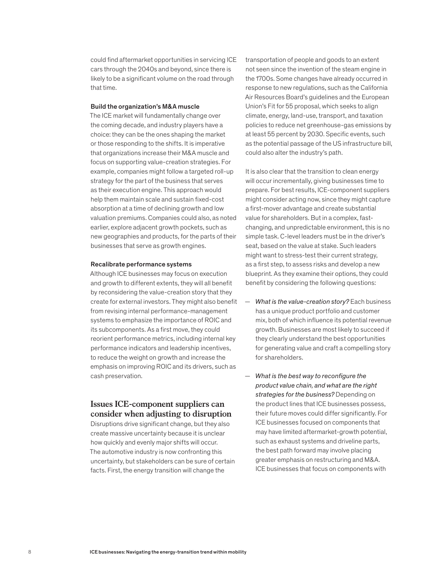could find aftermarket opportunities in servicing ICE cars through the 2040s and beyond, since there is likely to be a significant volume on the road through that time.

#### Build the organization's M&A muscle

The ICE market will fundamentally change over the coming decade, and industry players have a choice: they can be the ones shaping the market or those responding to the shifts. It is imperative that organizations increase their M&A muscle and focus on supporting value-creation strategies. For example, companies might follow a targeted roll-up strategy for the part of the business that serves as their execution engine. This approach would help them maintain scale and sustain fixed-cost absorption at a time of declining growth and low valuation premiums. Companies could also, as noted earlier, explore adjacent growth pockets, such as new geographies and products, for the parts of their businesses that serve as growth engines.

#### Recalibrate performance systems

Although ICE businesses may focus on execution and growth to different extents, they will all benefit by reconsidering the value-creation story that they create for external investors. They might also benefit from revising internal performance-management systems to emphasize the importance of ROIC and its subcomponents. As a first move, they could reorient performance metrics, including internal key performance indicators and leadership incentives, to reduce the weight on growth and increase the emphasis on improving ROIC and its drivers, such as cash preservation.

# **Issues ICE-component suppliers can consider when adjusting to disruption**

Disruptions drive significant change, but they also create massive uncertainty because it is unclear how quickly and evenly major shifts will occur. The automotive industry is now confronting this uncertainty, but stakeholders can be sure of certain facts. First, the energy transition will change the

transportation of people and goods to an extent not seen since the invention of the steam engine in the 1700s. Some changes have already occurred in response to new regulations, such as the California Air Resources Board's guidelines and the European Union's Fit for 55 proposal, which seeks to align climate, energy, land-use, transport, and taxation policies to reduce net greenhouse-gas emissions by at least 55 percent by 2030. Specific events, such as the potential passage of the US infrastructure bill, could also alter the industry's path.

It is also clear that the transition to clean energy will occur incrementally, giving businesses time to prepare. For best results, ICE-component suppliers might consider acting now, since they might capture a first-mover advantage and create substantial value for shareholders. But in a complex, fastchanging, and unpredictable environment, this is no simple task. C-level leaders must be in the driver's seat, based on the value at stake. Such leaders might want to stress-test their current strategy, as a first step, to assess risks and develop a new blueprint. As they examine their options, they could benefit by considering the following questions:

- *What is the value-creation story?* Each business has a unique product portfolio and customer mix, both of which influence its potential revenue growth. Businesses are most likely to succeed if they clearly understand the best opportunities for generating value and craft a compelling story for shareholders.
- *What is the best way to reconfigure the product value chain, and what are the right strategies for the business?* Depending on the product lines that ICE businesses possess, their future moves could differ significantly. For ICE businesses focused on components that may have limited aftermarket-growth potential, such as exhaust systems and driveline parts, the best path forward may involve placing greater emphasis on restructuring and M&A. ICE businesses that focus on components with